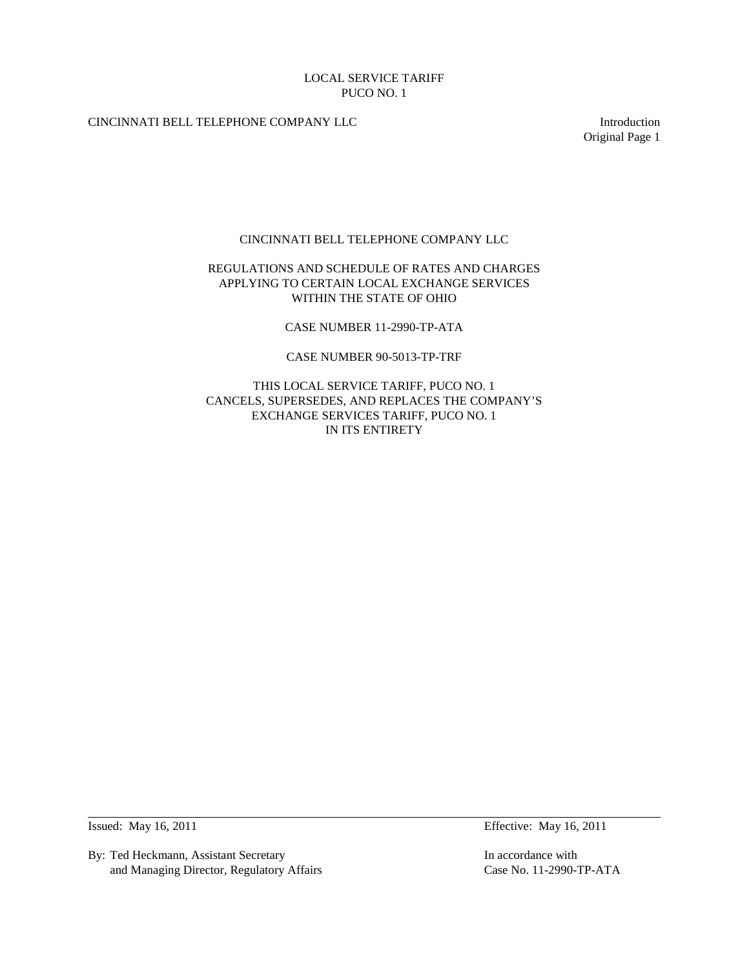# CINCINNATI BELL TELEPHONE COMPANY LLC Introduction

Original Page 1

## CINCINNATI BELL TELEPHONE COMPANY LLC

## REGULATIONS AND SCHEDULE OF RATES AND CHARGES APPLYING TO CERTAIN LOCAL EXCHANGE SERVICES WITHIN THE STATE OF OHIO

CASE NUMBER 11-2990-TP-ATA

CASE NUMBER 90-5013-TP-TRF

THIS LOCAL SERVICE TARIFF, PUCO NO. 1 CANCELS, SUPERSEDES, AND REPLACES THE COMPANY'S EXCHANGE SERVICES TARIFF, PUCO NO. 1 IN ITS ENTIRETY

By: Ted Heckmann, Assistant Secretary In accordance with and Managing Director, Regulatory Affairs Case No. 11-2990-TP-ATA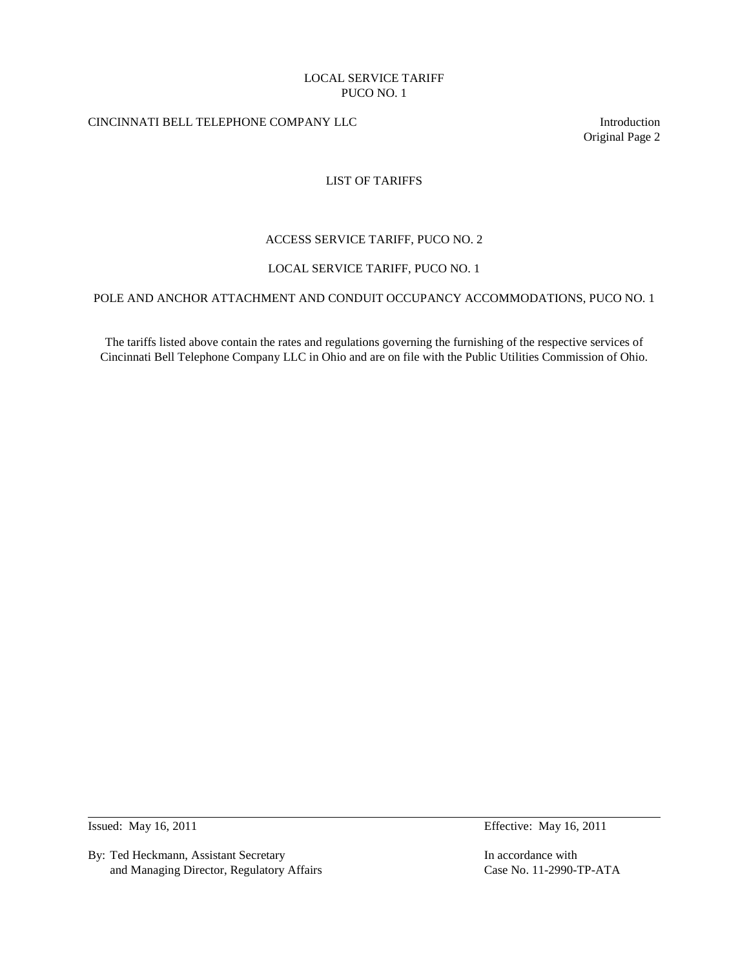# CINCINNATI BELL TELEPHONE COMPANY LLC Introduction

Original Page 2

## LIST OF TARIFFS

## ACCESS SERVICE TARIFF, PUCO NO. 2

# LOCAL SERVICE TARIFF, PUCO NO. 1

## POLE AND ANCHOR ATTACHMENT AND CONDUIT OCCUPANCY ACCOMMODATIONS, PUCO NO. 1

The tariffs listed above contain the rates and regulations governing the furnishing of the respective services of Cincinnati Bell Telephone Company LLC in Ohio and are on file with the Public Utilities Commission of Ohio.

By: Ted Heckmann, Assistant Secretary **In accordance with** In accordance with and Managing Director, Regulatory Affairs Case No. 11-2990-TP-ATA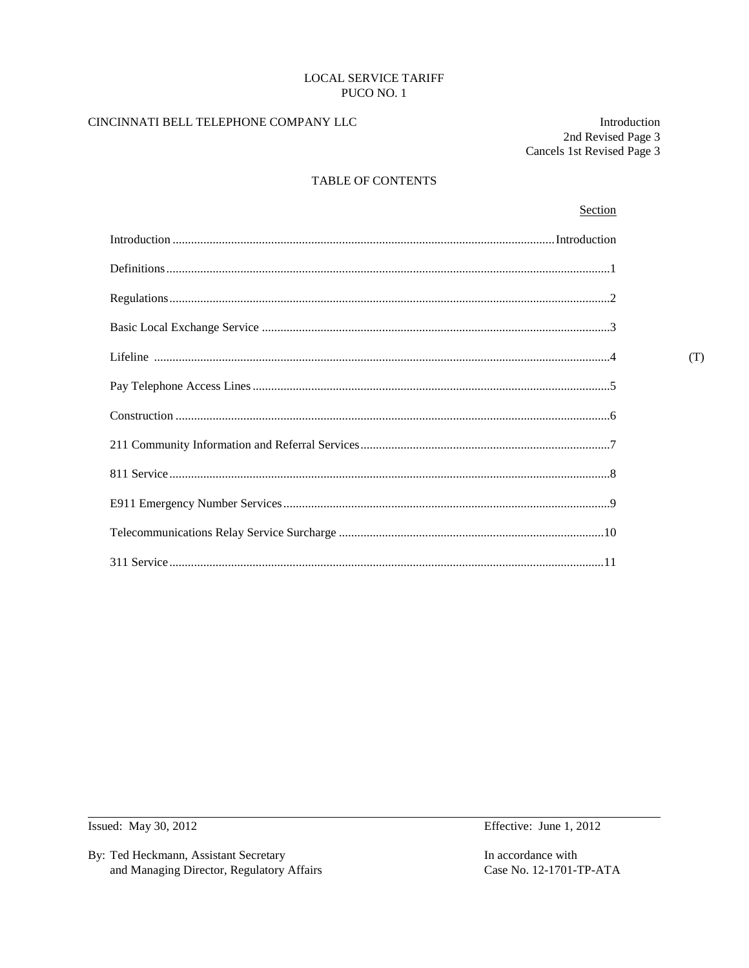# CINCINNATI BELL TELEPHONE COMPANY LLC

Introduction 2nd Revised Page 3 Cancels 1st Revised Page 3

# TABLE OF CONTENTS

Section

 $(T)$ 

Issued: May 30, 2012

By: Ted Heckmann, Assistant Secretary and Managing Director, Regulatory Affairs Effective: June 1, 2012

In accordance with Case No. 12-1701-TP-ATA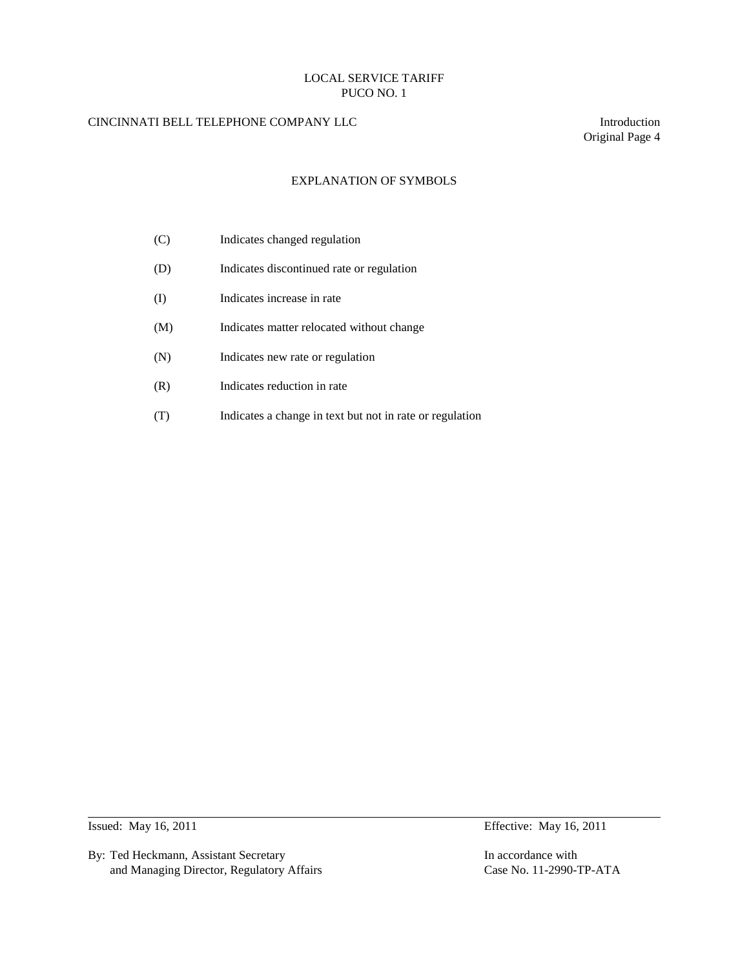# CINCINNATI BELL TELEPHONE COMPANY LLC Introduction

Original Page 4

## EXPLANATION OF SYMBOLS

| (C) | Indicates changed regulation                             |
|-----|----------------------------------------------------------|
| (D) | Indicates discontinued rate or regulation                |
| (I) | Indicates increase in rate                               |
| (M) | Indicates matter relocated without change                |
| (N) | Indicates new rate or regulation                         |
| (R) | Indicates reduction in rate                              |
|     | Indicates a change in text but not in rate or regulation |

By: Ted Heckmann, Assistant Secretary In accordance with and Managing Director, Regulatory Affairs Case No. 11-2990-TP-ATA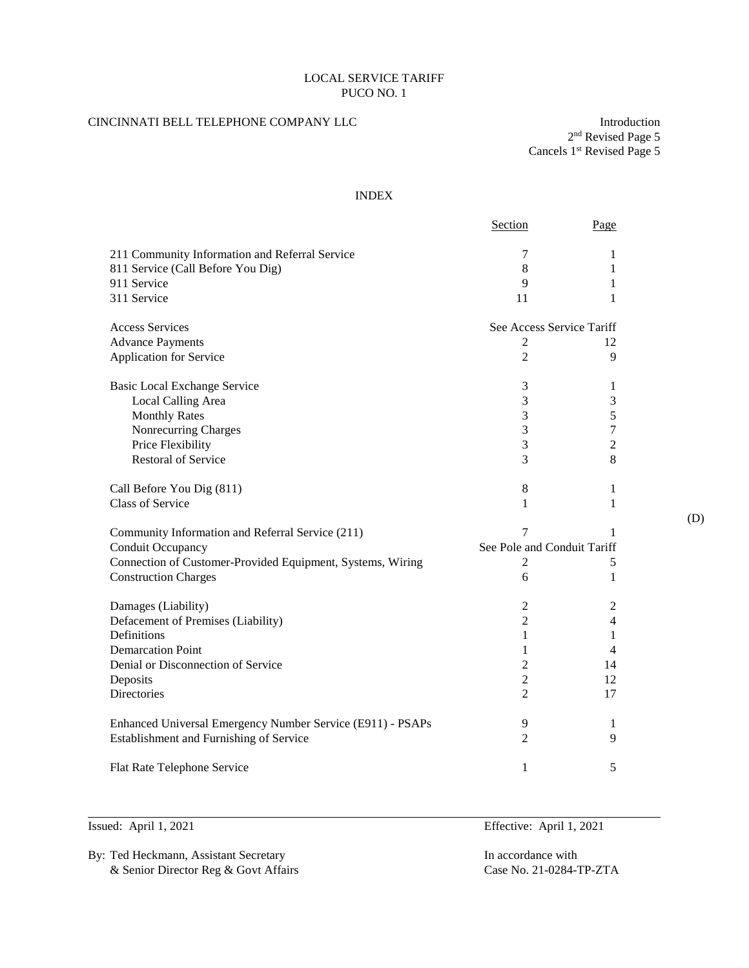# CINCINNATI BELL TELEPHONE COMPANY LLC Introduction

 $2^{\rm nd}$  Revised Page 5 Cancels 1<sup>st</sup> Revised Page 5

# INDEX

|                                                            | Section                     | Page           |
|------------------------------------------------------------|-----------------------------|----------------|
| 211 Community Information and Referral Service             | 7                           | 1              |
| 811 Service (Call Before You Dig)                          | 8                           | 1              |
| 911 Service                                                | 9                           | 1              |
| 311 Service                                                | 11                          | 1              |
| <b>Access Services</b>                                     | See Access Service Tariff   |                |
| <b>Advance Payments</b>                                    | 2                           | 12             |
| Application for Service                                    | $\overline{2}$              | 9              |
| <b>Basic Local Exchange Service</b>                        | $\mathfrak{Z}$              | 1              |
| Local Calling Area                                         | 3                           | 3              |
| <b>Monthly Rates</b>                                       | 3                           | 5              |
| Nonrecurring Charges                                       | 3                           | 7              |
| Price Flexibility                                          | 3                           | $\mathfrak{2}$ |
| <b>Restoral of Service</b>                                 | 3                           | 8              |
| Call Before You Dig (811)                                  | 8                           | 1              |
| <b>Class of Service</b>                                    | 1                           | 1              |
| Community Information and Referral Service (211)           | 7                           | 1              |
| Conduit Occupancy                                          | See Pole and Conduit Tariff |                |
| Connection of Customer-Provided Equipment, Systems, Wiring | 2                           | 5              |
| <b>Construction Charges</b>                                | 6                           | 1              |
| Damages (Liability)                                        | $\mathfrak{2}$              | $\overline{c}$ |
| Defacement of Premises (Liability)                         | $\overline{2}$              | $\overline{4}$ |
| Definitions                                                | $\mathbf{1}$                | 1              |
| <b>Demarcation Point</b>                                   | 1                           | $\overline{4}$ |
| Denial or Disconnection of Service                         | $\overline{2}$              | 14             |
| Deposits                                                   | $\boldsymbol{2}$            | 12             |
| Directories                                                | $\overline{2}$              | 17             |
| Enhanced Universal Emergency Number Service (E911) - PSAPs | 9                           | 1              |
| Establishment and Furnishing of Service                    | $\overline{2}$              | 9              |
| Flat Rate Telephone Service                                | $\mathbf{1}$                | 5              |

By: Ted Heckmann, Assistant Secretary In accordance with & Senior Director Reg & Govt Affairs Case No. 21-0284-TP-ZTA

Issued: April 1, 2021 Effective: April 1, 2021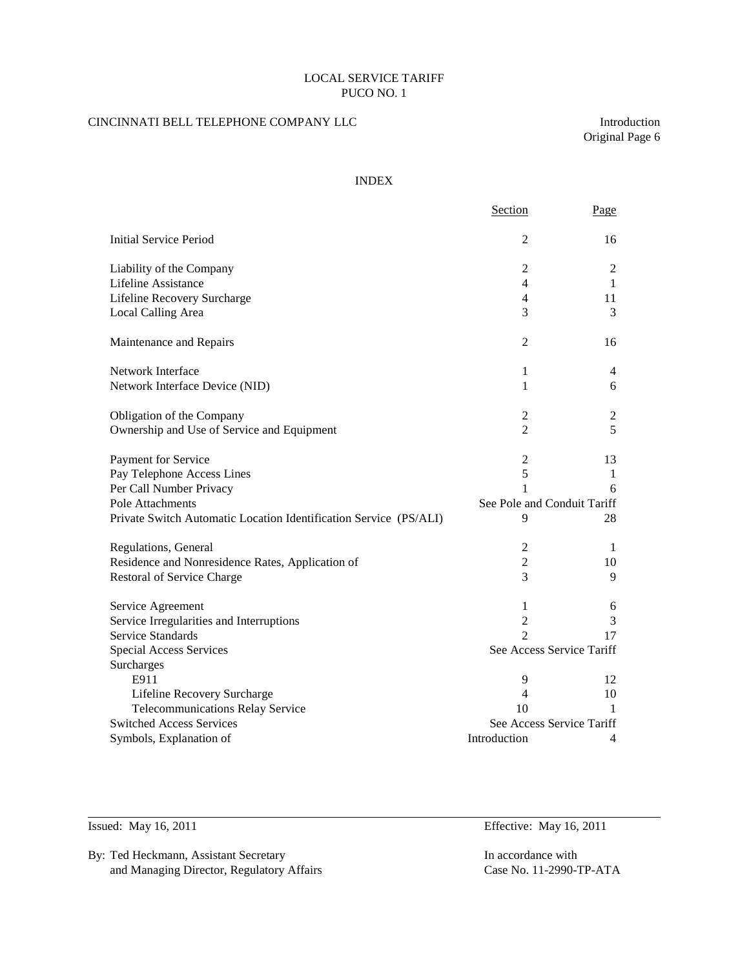# CINCINNATI BELL TELEPHONE COMPANY LLC Introduction

Original Page 6

### INDEX

|                                                                   | <b>Section</b>              | Page |
|-------------------------------------------------------------------|-----------------------------|------|
| <b>Initial Service Period</b>                                     | $\overline{2}$              | 16   |
| Liability of the Company                                          | $\overline{c}$              | 2    |
| Lifeline Assistance                                               | $\overline{4}$              | 1    |
| Lifeline Recovery Surcharge                                       | $\overline{4}$              | 11   |
| Local Calling Area                                                | 3                           | 3    |
| Maintenance and Repairs                                           | $\overline{2}$              | 16   |
| Network Interface                                                 | 1                           | 4    |
| Network Interface Device (NID)                                    | $\mathbf{1}$                | 6    |
| Obligation of the Company                                         | $\mathfrak 2$               | 2    |
| Ownership and Use of Service and Equipment                        | $\mathfrak{D}$              | 5    |
| Payment for Service                                               | $\overline{2}$              | 13   |
| Pay Telephone Access Lines                                        | 5                           | 1    |
| Per Call Number Privacy                                           | 1                           | 6    |
| Pole Attachments                                                  | See Pole and Conduit Tariff |      |
| Private Switch Automatic Location Identification Service (PS/ALI) | 9                           | 28   |
| Regulations, General                                              | $\overline{c}$              | 1    |
| Residence and Nonresidence Rates, Application of                  | 2                           | 10   |
| <b>Restoral of Service Charge</b>                                 | 3                           | 9    |
| Service Agreement                                                 | 1                           | 6    |
| Service Irregularities and Interruptions                          | 2                           | 3    |
| <b>Service Standards</b>                                          | $\overline{2}$              | 17   |
| Special Access Services                                           | See Access Service Tariff   |      |
| Surcharges                                                        |                             |      |
| E911                                                              | 9                           | 12   |
| Lifeline Recovery Surcharge                                       | 4                           | 10   |
| <b>Telecommunications Relay Service</b>                           | 10                          | 1    |
| <b>Switched Access Services</b>                                   | See Access Service Tariff   |      |
| Symbols, Explanation of                                           | Introduction                | 4    |

By: Ted Heckmann, Assistant Secretary In accordance with and Managing Director, Regulatory Affairs Case No. 11-2990-TP-ATA